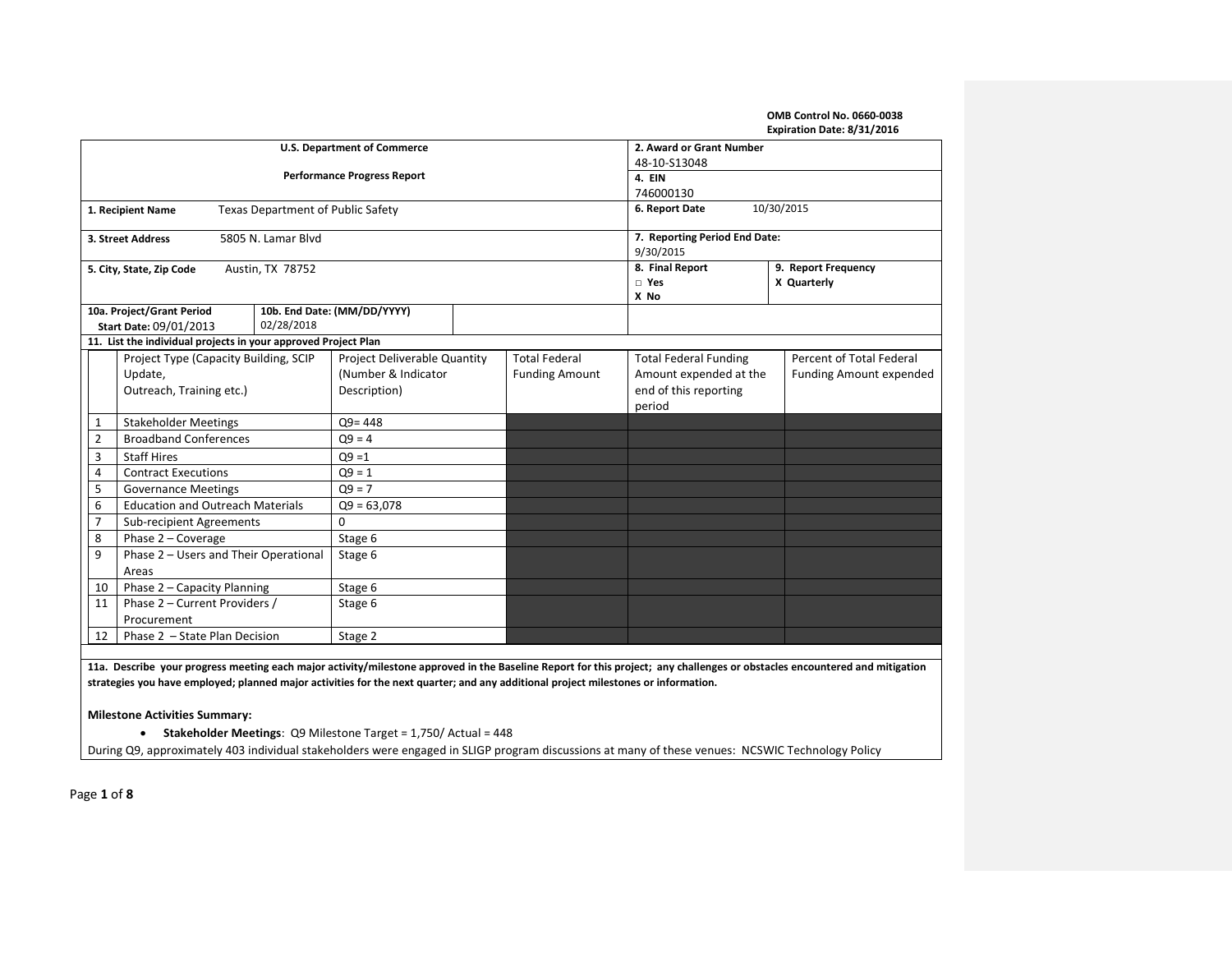# **OMB Control No. 0660-0038**

|                |                                                                |                                          |                              |                       |                        |                                | Expiration Date: 8/31/2016 |  |  |  |
|----------------|----------------------------------------------------------------|------------------------------------------|------------------------------|-----------------------|------------------------|--------------------------------|----------------------------|--|--|--|
|                |                                                                | <b>U.S. Department of Commerce</b>       | 2. Award or Grant Number     |                       |                        |                                |                            |  |  |  |
|                |                                                                |                                          | 48-10-S13048                 |                       |                        |                                |                            |  |  |  |
|                |                                                                | <b>Performance Progress Report</b>       |                              | 4. EIN                |                        |                                |                            |  |  |  |
|                |                                                                |                                          | 746000130                    |                       |                        |                                |                            |  |  |  |
|                | 1. Recipient Name                                              | <b>Texas Department of Public Safety</b> | 10/30/2015<br>6. Report Date |                       |                        |                                |                            |  |  |  |
|                |                                                                |                                          |                              |                       |                        |                                |                            |  |  |  |
|                | 3. Street Address                                              | 5805 N. Lamar Blvd                       |                              |                       |                        | 7. Reporting Period End Date:  |                            |  |  |  |
|                |                                                                |                                          |                              |                       |                        | 9/30/2015                      |                            |  |  |  |
|                | 5. City, State, Zip Code                                       | Austin, TX 78752                         |                              |                       |                        | 8. Final Report<br>$\Box$ Yes  | 9. Report Frequency        |  |  |  |
|                |                                                                |                                          |                              |                       |                        | X No                           | X Quarterly                |  |  |  |
|                | 10a. Project/Grant Period                                      |                                          | 10b. End Date: (MM/DD/YYYY)  |                       |                        |                                |                            |  |  |  |
|                | Start Date: 09/01/2013                                         | 02/28/2018                               |                              |                       |                        |                                |                            |  |  |  |
|                | 11. List the individual projects in your approved Project Plan |                                          |                              |                       |                        |                                |                            |  |  |  |
|                | Project Type (Capacity Building, SCIP                          |                                          | Project Deliverable Quantity |                       | <b>Total Federal</b>   | <b>Total Federal Funding</b>   | Percent of Total Federal   |  |  |  |
|                | Update,                                                        | (Number & Indicator                      |                              | <b>Funding Amount</b> | Amount expended at the | <b>Funding Amount expended</b> |                            |  |  |  |
|                | Outreach, Training etc.)                                       |                                          | Description)                 |                       |                        | end of this reporting          |                            |  |  |  |
|                |                                                                |                                          |                              |                       |                        | period                         |                            |  |  |  |
| $\mathbf{1}$   | <b>Stakeholder Meetings</b>                                    |                                          | $Q9 = 448$                   |                       |                        |                                |                            |  |  |  |
| $\overline{2}$ | <b>Broadband Conferences</b>                                   |                                          | $Q9 = 4$                     |                       |                        |                                |                            |  |  |  |
| 3              | <b>Staff Hires</b>                                             |                                          | $Q9 = 1$                     |                       |                        |                                |                            |  |  |  |
| 4              | <b>Contract Executions</b>                                     |                                          | $Q9 = 1$                     |                       |                        |                                |                            |  |  |  |
| 5              | <b>Governance Meetings</b>                                     |                                          | $Q9 = 7$                     |                       |                        |                                |                            |  |  |  |
| 6              | <b>Education and Outreach Materials</b>                        |                                          | $Q9 = 63,078$                |                       |                        |                                |                            |  |  |  |
| $\overline{7}$ | <b>Sub-recipient Agreements</b>                                |                                          | 0                            |                       |                        |                                |                            |  |  |  |
| 8              | Phase 2 - Coverage                                             |                                          | Stage 6                      |                       |                        |                                |                            |  |  |  |
| 9              | Phase 2 - Users and Their Operational                          |                                          | Stage 6                      |                       |                        |                                |                            |  |  |  |
| Areas          |                                                                |                                          |                              |                       |                        |                                |                            |  |  |  |
| 10             | Phase 2 - Capacity Planning                                    |                                          | Stage 6                      |                       |                        |                                |                            |  |  |  |
| 11             | Phase 2 - Current Providers /                                  |                                          | Stage 6                      |                       |                        |                                |                            |  |  |  |
|                | Procurement                                                    |                                          |                              |                       |                        |                                |                            |  |  |  |
| 12             | Phase 2 - State Plan Decision                                  |                                          | Stage 2                      |                       |                        |                                |                            |  |  |  |
|                |                                                                |                                          |                              |                       |                        |                                |                            |  |  |  |
|                |                                                                |                                          |                              |                       |                        |                                |                            |  |  |  |

**11a. Describe your progress meeting each major activity/milestone approved in the Baseline Report for this project; any challenges or obstacles encountered and mitigation strategies you have employed; planned major activities for the next quarter; and any additional project milestones or information.**

**Milestone Activities Summary:**

• **Stakeholder Meetings**: Q9 Milestone Target = 1,750/ Actual = 448

During Q9, approximately 403 individual stakeholders were engaged in SLIGP program discussions at many of these venues: NCSWIC Technology Policy

Page **1** of **8**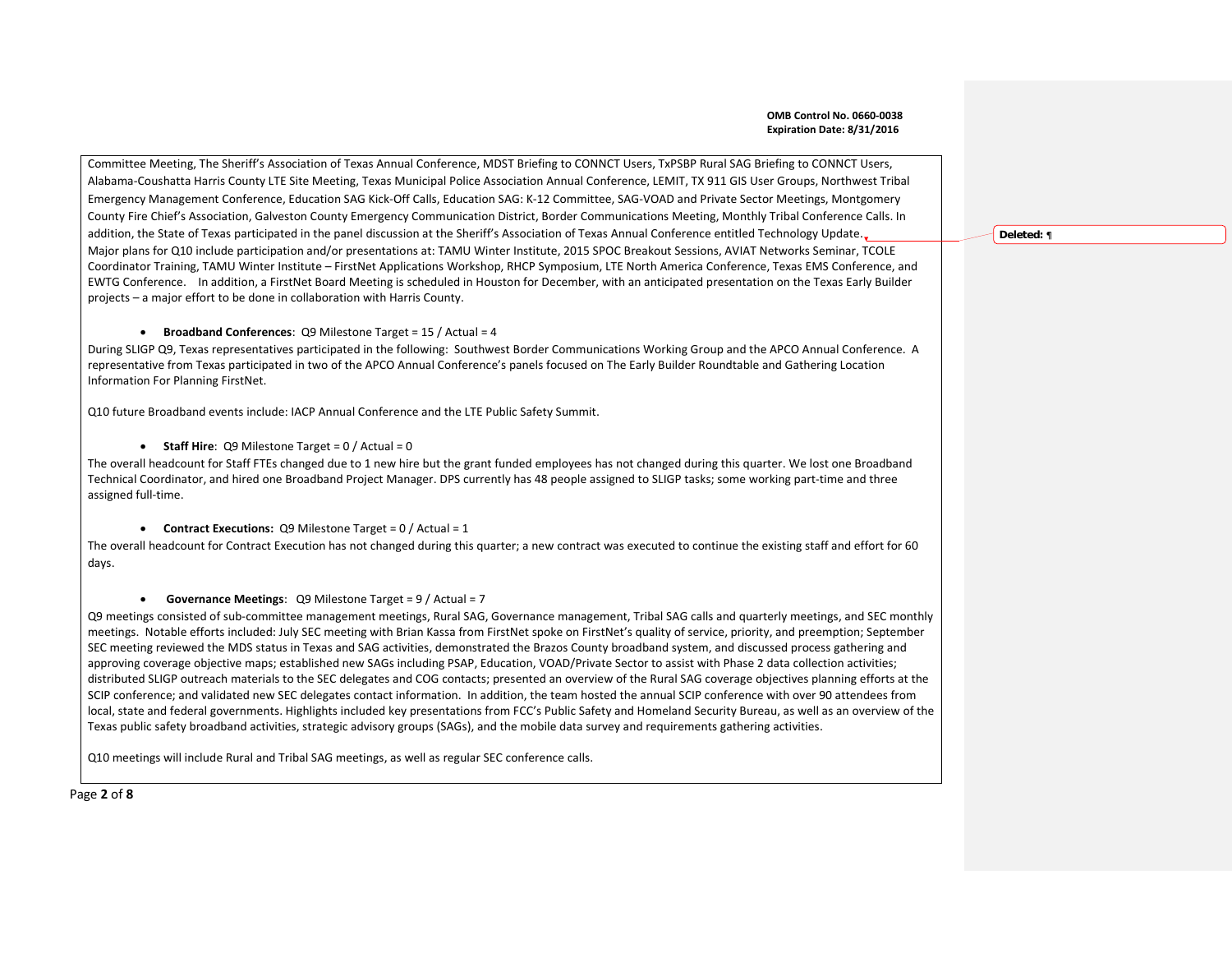Committee Meeting, The Sheriff's Association of Texas Annual Conference, MDST Briefing to CONNCT Users, TxPSBP Rural SAG Briefing to CONNCT Users, Alabama-Coushatta Harris County LTE Site Meeting, Texas Municipal Police Association Annual Conference, LEMIT, TX 911 GIS User Groups, Northwest Tribal Emergency Management Conference, Education SAG Kick-Off Calls, Education SAG: K-12 Committee, SAG-VOAD and Private Sector Meetings, Montgomery County Fire Chief's Association, Galveston County Emergency Communication District, Border Communications Meeting, Monthly Tribal Conference Calls. In addition, the State of Texas participated in the panel discussion at the Sheriff's Association of Texas Annual Conference entitled Technology Update. Major plans for Q10 include participation and/or presentations at: TAMU Winter Institute, 2015 SPOC Breakout Sessions, AVIAT Networks Seminar, TCOLE Coordinator Training, TAMU Winter Institute – FirstNet Applications Workshop, RHCP Symposium, LTE North America Conference, Texas EMS Conference, and EWTG Conference. In addition, a FirstNet Board Meeting is scheduled in Houston for December, with an anticipated presentation on the Texas Early Builder projects – a major effort to be done in collaboration with Harris County.

# • **Broadband Conferences**: Q9 Milestone Target = 15 / Actual = 4

During SLIGP Q9, Texas representatives participated in the following: Southwest Border Communications Working Group and the APCO Annual Conference. A representative from Texas participated in two of the APCO Annual Conference's panels focused on The Early Builder Roundtable and Gathering Location Information For Planning FirstNet.

Q10 future Broadband events include: IACP Annual Conference and the LTE Public Safety Summit.

# • **Staff Hire:** Q9 Milestone Target = 0 / Actual = 0

The overall headcount for Staff FTEs changed due to 1 new hire but the grant funded employees has not changed during this quarter. We lost one Broadband Technical Coordinator, and hired one Broadband Project Manager. DPS currently has 48 people assigned to SLIGP tasks; some working part-time and three assigned full-time.

## • **Contract Executions:** Q9 Milestone Target = 0 / Actual = 1

The overall headcount for Contract Execution has not changed during this quarter; a new contract was executed to continue the existing staff and effort for 60 days.

# • **Governance Meetings**: Q9 Milestone Target = 9 / Actual = 7

Q9 meetings consisted of sub-committee management meetings, Rural SAG, Governance management, Tribal SAG calls and quarterly meetings, and SEC monthly meetings. Notable efforts included: July SEC meeting with Brian Kassa from FirstNet spoke on FirstNet's quality of service, priority, and preemption; September SEC meeting reviewed the MDS status in Texas and SAG activities, demonstrated the Brazos County broadband system, and discussed process gathering and approving coverage objective maps; established new SAGs including PSAP, Education, VOAD/Private Sector to assist with Phase 2 data collection activities; distributed SLIGP outreach materials to the SEC delegates and COG contacts; presented an overview of the Rural SAG coverage objectives planning efforts at the SCIP conference; and validated new SEC delegates contact information. In addition, the team hosted the annual SCIP conference with over 90 attendees from local, state and federal governments. Highlights included key presentations from FCC's Public Safety and Homeland Security Bureau, as well as an overview of the Texas public safety broadband activities, strategic advisory groups (SAGs), and the mobile data survey and requirements gathering activities.

Q10 meetings will include Rural and Tribal SAG meetings, as well as regular SEC conference calls.

Page **2** of **8**

**Deleted:** ¶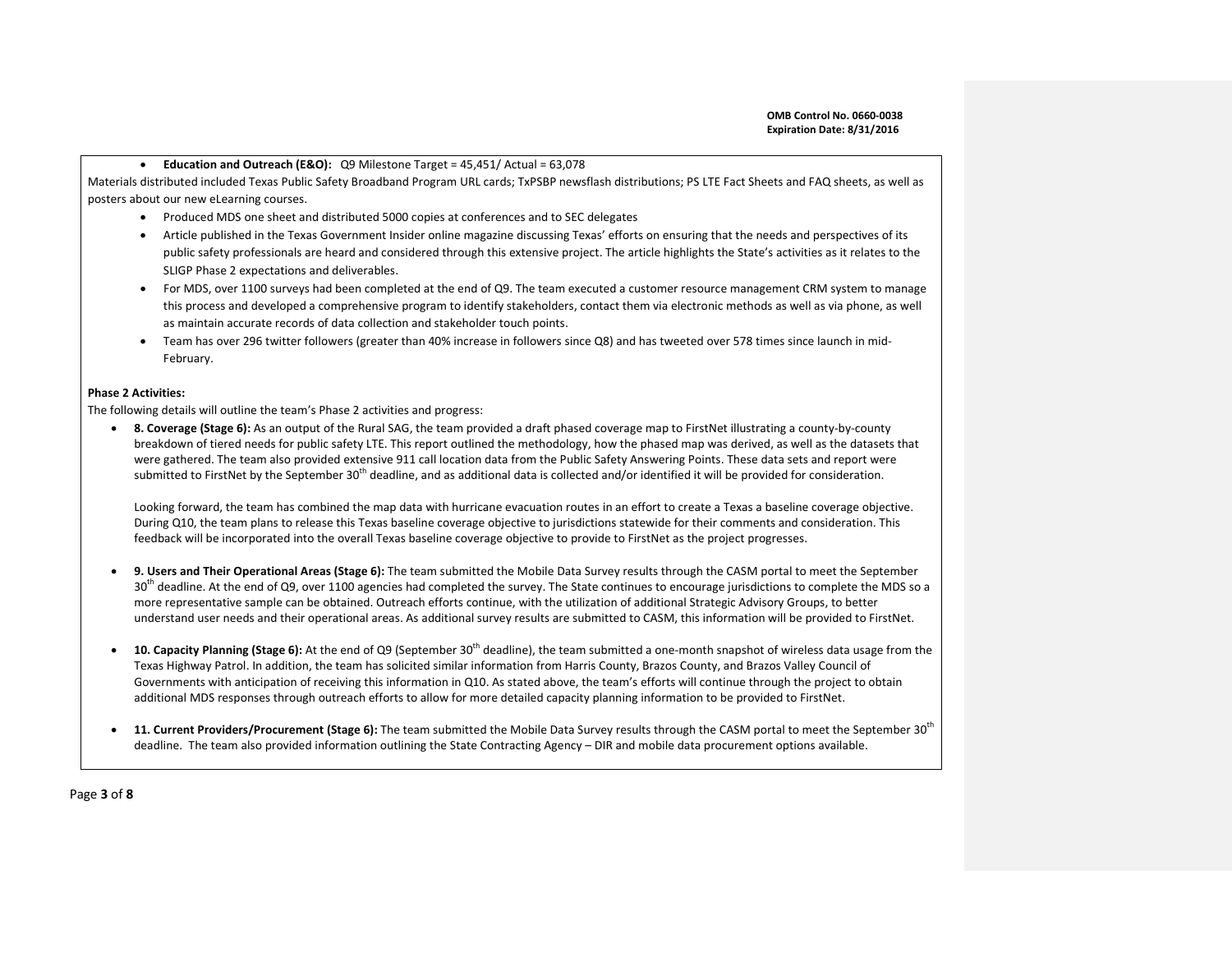## • **Education and Outreach (E&O):** Q9 Milestone Target = 45,451/ Actual = 63,078

Materials distributed included Texas Public Safety Broadband Program URL cards; TxPSBP newsflash distributions; PS LTE Fact Sheets and FAQ sheets, as well as posters about our new eLearning courses.

- Produced MDS one sheet and distributed 5000 copies at conferences and to SEC delegates
- Article published in the Texas Government Insider online magazine discussing Texas' efforts on ensuring that the needs and perspectives of its public safety professionals are heard and considered through this extensive project. The article highlights the State's activities as it relates to the SLIGP Phase 2 expectations and deliverables.
- For MDS, over 1100 surveys had been completed at the end of Q9. The team executed a customer resource management CRM system to manage this process and developed a comprehensive program to identify stakeholders, contact them via electronic methods as well as via phone, as well as maintain accurate records of data collection and stakeholder touch points.
- Team has over 296 twitter followers (greater than 40% increase in followers since Q8) and has tweeted over 578 times since launch in mid-February.

## **Phase 2 Activities:**

The following details will outline the team's Phase 2 activities and progress:

• **8. Coverage (Stage 6):** As an output of the Rural SAG, the team provided a draft phased coverage map to FirstNet illustrating a county-by-county breakdown of tiered needs for public safety LTE. This report outlined the methodology, how the phased map was derived, as well as the datasets that were gathered. The team also provided extensive 911 call location data from the Public Safety Answering Points. These data sets and report were submitted to FirstNet by the September 30<sup>th</sup> deadline, and as additional data is collected and/or identified it will be provided for consideration.

Looking forward, the team has combined the map data with hurricane evacuation routes in an effort to create a Texas a baseline coverage objective. During Q10, the team plans to release this Texas baseline coverage objective to jurisdictions statewide for their comments and consideration. This feedback will be incorporated into the overall Texas baseline coverage objective to provide to FirstNet as the project progresses.

- **9. Users and Their Operational Areas (Stage 6):** The team submitted the Mobile Data Survey results through the CASM portal to meet the September  $30<sup>th</sup>$  deadline. At the end of Q9, over 1100 agencies had completed the survey. The State continues to encourage jurisdictions to complete the MDS so a more representative sample can be obtained. Outreach efforts continue, with the utilization of additional Strategic Advisory Groups, to better understand user needs and their operational areas. As additional survey results are submitted to CASM, this information will be provided to FirstNet.
- **10. Capacity Planning (Stage 6):** At the end of Q9 (September 30th deadline), the team submitted a one-month snapshot of wireless data usage from the Texas Highway Patrol. In addition, the team has solicited similar information from Harris County, Brazos County, and Brazos Valley Council of Governments with anticipation of receiving this information in Q10. As stated above, the team's efforts will continue through the project to obtain additional MDS responses through outreach efforts to allow for more detailed capacity planning information to be provided to FirstNet.
- **11. Current Providers/Procurement (Stage 6):** The team submitted the Mobile Data Survey results through the CASM portal to meet the September 30th deadline. The team also provided information outlining the State Contracting Agency – DIR and mobile data procurement options available.

Page **3** of **8**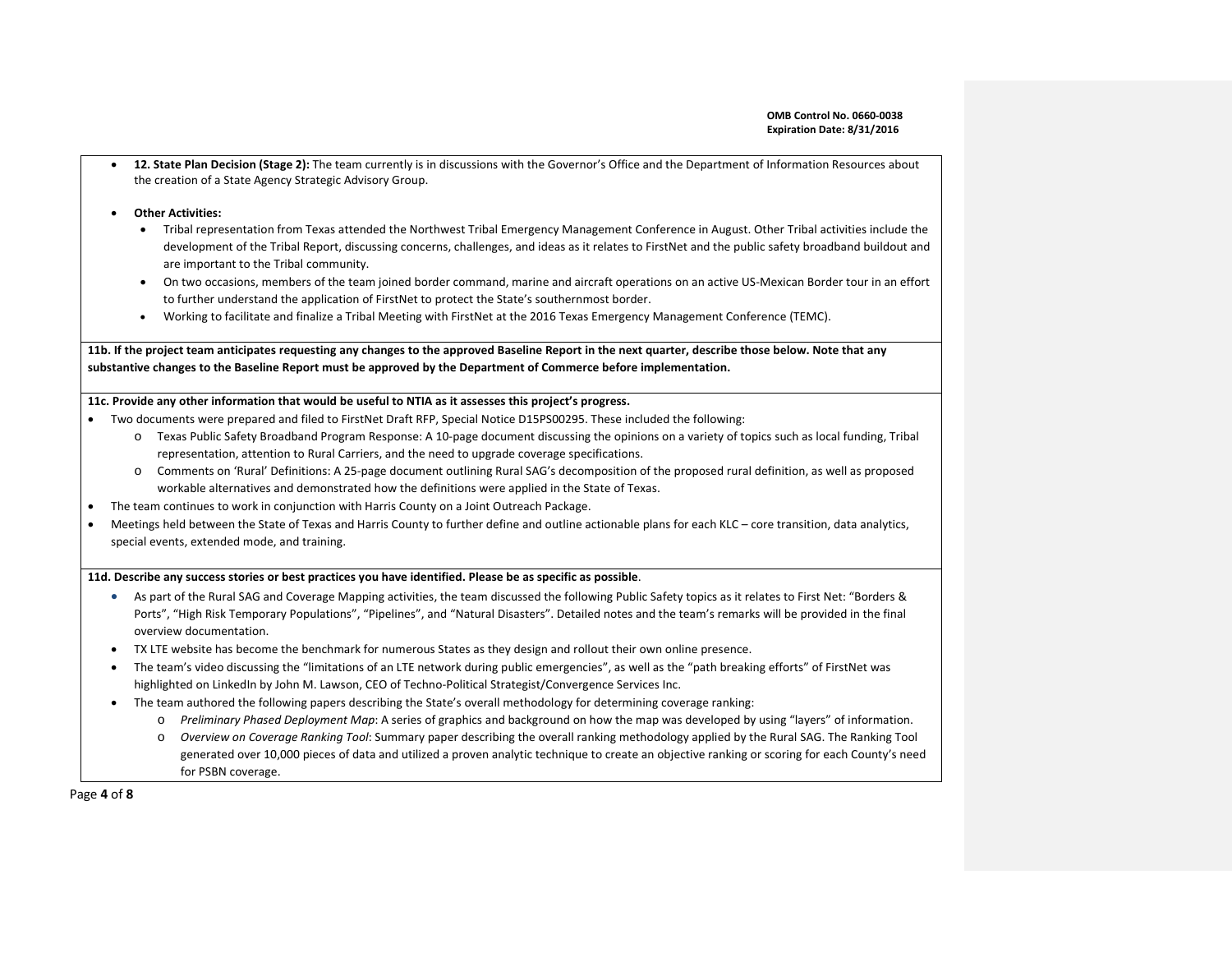• **12. State Plan Decision (Stage 2):** The team currently is in discussions with the Governor's Office and the Department of Information Resources about the creation of a State Agency Strategic Advisory Group.

#### • **Other Activities:**

- Tribal representation from Texas attended the Northwest Tribal Emergency Management Conference in August. Other Tribal activities include the development of the Tribal Report, discussing concerns, challenges, and ideas as it relates to FirstNet and the public safety broadband buildout and are important to the Tribal community.
- On two occasions, members of the team joined border command, marine and aircraft operations on an active US-Mexican Border tour in an effort to further understand the application of FirstNet to protect the State's southernmost border.
- Working to facilitate and finalize a Tribal Meeting with FirstNet at the 2016 Texas Emergency Management Conference (TEMC).

**11b. If the project team anticipates requesting any changes to the approved Baseline Report in the next quarter, describe those below. Note that any substantive changes to the Baseline Report must be approved by the Department of Commerce before implementation.** 

# **11c. Provide any other information that would be useful to NTIA as it assesses this project's progress.**

- Two documents were prepared and filed to FirstNet Draft RFP, Special Notice D15PS00295. These included the following:
	- o Texas Public Safety Broadband Program Response: A 10-page document discussing the opinions on a variety of topics such as local funding, Tribal representation, attention to Rural Carriers, and the need to upgrade coverage specifications.
	- o Comments on 'Rural' Definitions: A 25-page document outlining Rural SAG's decomposition of the proposed rural definition, as well as proposed workable alternatives and demonstrated how the definitions were applied in the State of Texas.
- The team continues to work in conjunction with Harris County on a Joint Outreach Package.
- Meetings held between the State of Texas and Harris County to further define and outline actionable plans for each KLC core transition, data analytics, special events, extended mode, and training.

#### **11d. Describe any success stories or best practices you have identified. Please be as specific as possible**.

- As part of the Rural SAG and Coverage Mapping activities, the team discussed the following Public Safety topics as it relates to First Net: "Borders & Ports", "High Risk Temporary Populations", "Pipelines", and "Natural Disasters". Detailed notes and the team's remarks will be provided in the final overview documentation.
- TX LTE website has become the benchmark for numerous States as they design and rollout their own online presence.
- The team's video discussing the "limitations of an LTE network during public emergencies", as well as the "path breaking efforts" of FirstNet was highlighted on LinkedIn by John M. Lawson, CEO of Techno-Political Strategist/Convergence Services Inc.
- The team authored the following papers describing the State's overall methodology for determining coverage ranking:
	- o *Preliminary Phased Deployment Map*: A series of graphics and background on how the map was developed by using "layers" of information.
	- o *Overview on Coverage Ranking Tool*: Summary paper describing the overall ranking methodology applied by the Rural SAG. The Ranking Tool generated over 10,000 pieces of data and utilized a proven analytic technique to create an objective ranking or scoring for each County's need for PSBN coverage.

Page **4** of **8**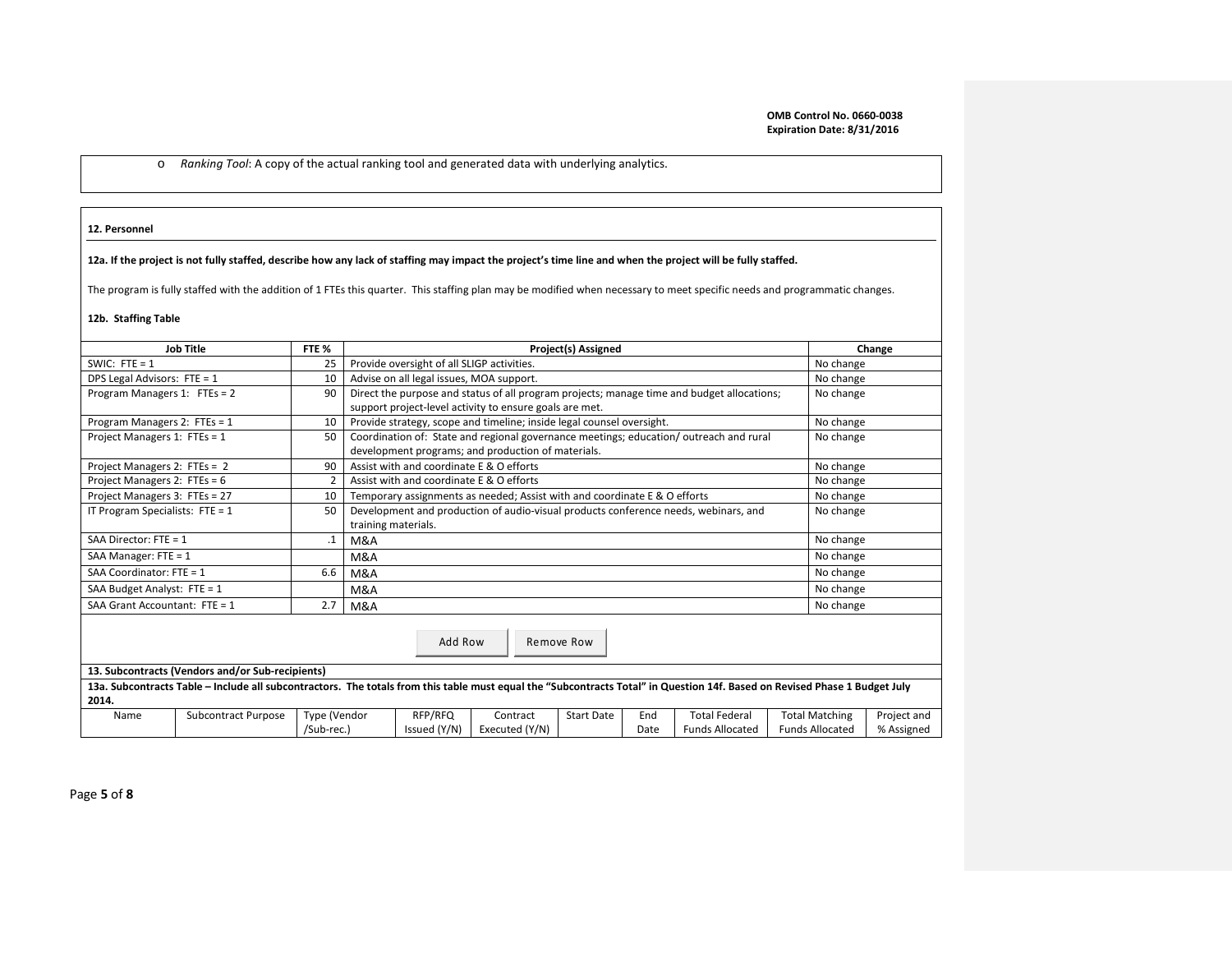o *Ranking Tool*: A copy of the actual ranking tool and generated data with underlying analytics.

### **12. Personnel**

# **12a. If the project is not fully staffed, describe how any lack of staffing may impact the project's time line and when the project will be fully staffed.**

The program is fully staffed with the addition of 1 FTEs this quarter. This staffing plan may be modified when necessary to meet specific needs and programmatic changes.

## **12b. Staffing Table**

|                                         | <b>Job Title</b><br>FTE %<br>Project(s) Assigned                                                                                                                           |              |                                                                                     |                                                                                            |                                                         |                   |      |                                                                                       |  | Change                 |             |  |
|-----------------------------------------|----------------------------------------------------------------------------------------------------------------------------------------------------------------------------|--------------|-------------------------------------------------------------------------------------|--------------------------------------------------------------------------------------------|---------------------------------------------------------|-------------------|------|---------------------------------------------------------------------------------------|--|------------------------|-------------|--|
| SWIC: FTE = $1$                         |                                                                                                                                                                            | 25           |                                                                                     | Provide oversight of all SLIGP activities.                                                 |                                                         |                   |      |                                                                                       |  |                        | No change   |  |
|                                         | DPS Legal Advisors: FTE = 1<br>Advise on all legal issues, MOA support.<br>10                                                                                              |              |                                                                                     |                                                                                            |                                                         |                   |      |                                                                                       |  | No change              |             |  |
| Program Managers 1: FTEs = 2<br>90      |                                                                                                                                                                            |              |                                                                                     | Direct the purpose and status of all program projects; manage time and budget allocations; | No change                                               |                   |      |                                                                                       |  |                        |             |  |
|                                         |                                                                                                                                                                            |              |                                                                                     |                                                                                            | support project-level activity to ensure goals are met. |                   |      |                                                                                       |  |                        |             |  |
| Program Managers 2: FTEs = 1            |                                                                                                                                                                            | 10           |                                                                                     | Provide strategy, scope and timeline; inside legal counsel oversight.                      | No change                                               |                   |      |                                                                                       |  |                        |             |  |
| Project Managers 1: FTEs = 1            |                                                                                                                                                                            | 50           |                                                                                     |                                                                                            |                                                         |                   |      | Coordination of: State and regional governance meetings; education/outreach and rural |  | No change              |             |  |
|                                         |                                                                                                                                                                            |              |                                                                                     | development programs; and production of materials.                                         |                                                         |                   |      |                                                                                       |  |                        |             |  |
| Project Managers 2: FTEs = 2            |                                                                                                                                                                            | 90           |                                                                                     | Assist with and coordinate E & O efforts                                                   |                                                         |                   |      |                                                                                       |  | No change              |             |  |
| Project Managers 2: FTEs = 6            |                                                                                                                                                                            |              |                                                                                     | Assist with and coordinate E & O efforts                                                   |                                                         |                   |      |                                                                                       |  | No change              |             |  |
| Project Managers 3: FTEs = 27           |                                                                                                                                                                            | 10           |                                                                                     | Temporary assignments as needed; Assist with and coordinate E & O efforts                  |                                                         |                   |      |                                                                                       |  |                        | No change   |  |
| IT Program Specialists: $FTE = 1$<br>50 |                                                                                                                                                                            |              | Development and production of audio-visual products conference needs, webinars, and |                                                                                            |                                                         |                   |      |                                                                                       |  |                        | No change   |  |
|                                         |                                                                                                                                                                            |              | training materials.                                                                 |                                                                                            |                                                         |                   |      |                                                                                       |  |                        |             |  |
| SAA Director: $FTE = 1$                 | .1                                                                                                                                                                         | M&A          |                                                                                     |                                                                                            |                                                         |                   |      |                                                                                       |  | No change              |             |  |
| SAA Manager: $FTE = 1$                  |                                                                                                                                                                            | M&A          |                                                                                     |                                                                                            |                                                         |                   |      |                                                                                       |  | No change              |             |  |
| SAA Coordinator: $FTE = 1$              | 6.6                                                                                                                                                                        | M&A          |                                                                                     |                                                                                            |                                                         |                   |      |                                                                                       |  | No change              |             |  |
| SAA Budget Analyst: $FTE = 1$           |                                                                                                                                                                            |              | M&A                                                                                 |                                                                                            |                                                         |                   |      |                                                                                       |  | No change              |             |  |
| SAA Grant Accountant: FTE = 1           |                                                                                                                                                                            | 2.7          | M&A                                                                                 |                                                                                            |                                                         |                   |      |                                                                                       |  | No change              |             |  |
| Add Row<br>Remove Row                   |                                                                                                                                                                            |              |                                                                                     |                                                                                            |                                                         |                   |      |                                                                                       |  |                        |             |  |
|                                         | 13. Subcontracts (Vendors and/or Sub-recipients)                                                                                                                           |              |                                                                                     |                                                                                            |                                                         |                   |      |                                                                                       |  |                        |             |  |
|                                         | 13a. Subcontracts Table - Include all subcontractors. The totals from this table must equal the "Subcontracts Total" in Question 14f. Based on Revised Phase 1 Budget July |              |                                                                                     |                                                                                            |                                                         |                   |      |                                                                                       |  |                        |             |  |
| 2014.                                   |                                                                                                                                                                            |              |                                                                                     |                                                                                            |                                                         |                   |      |                                                                                       |  |                        |             |  |
| Name                                    | <b>Subcontract Purpose</b>                                                                                                                                                 | Type (Vendor |                                                                                     | RFP/RFQ                                                                                    | Contract                                                | <b>Start Date</b> | End  | <b>Total Federal</b>                                                                  |  | <b>Total Matching</b>  | Project and |  |
|                                         |                                                                                                                                                                            | /Sub-rec.)   |                                                                                     | Issued (Y/N)                                                                               | Executed (Y/N)                                          |                   | Date | <b>Funds Allocated</b>                                                                |  | <b>Funds Allocated</b> | % Assigned  |  |

Page **5** of **8**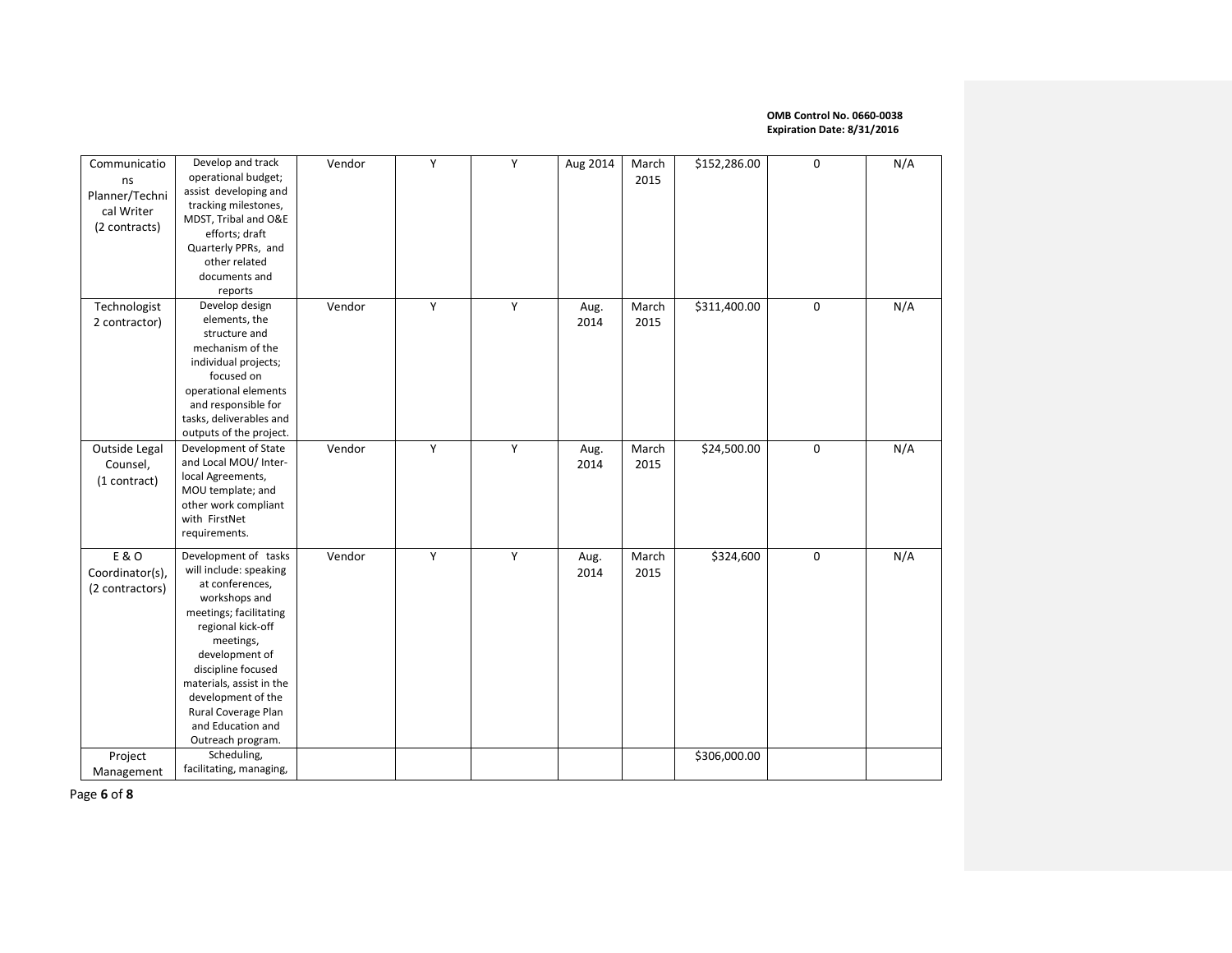| Communicatio<br>ns<br>Planner/Techni<br>cal Writer<br>(2 contracts) | Develop and track<br>operational budget;<br>assist developing and<br>tracking milestones,<br>MDST, Tribal and O&E<br>efforts; draft<br>Quarterly PPRs, and<br>other related<br>documents and<br>reports                                                                                                   | Vendor | Y | Y | Aug 2014     | March<br>2015 | \$152,286.00 | $\mathbf 0$ | N/A |
|---------------------------------------------------------------------|-----------------------------------------------------------------------------------------------------------------------------------------------------------------------------------------------------------------------------------------------------------------------------------------------------------|--------|---|---|--------------|---------------|--------------|-------------|-----|
| Technologist<br>2 contractor)                                       | Develop design<br>elements, the<br>structure and<br>mechanism of the<br>individual projects;<br>focused on<br>operational elements<br>and responsible for<br>tasks, deliverables and<br>outputs of the project.                                                                                           | Vendor | Υ | Y | Aug.<br>2014 | March<br>2015 | \$311,400.00 | 0           | N/A |
| Outside Legal<br>Counsel,<br>(1 contract)                           | Development of State<br>and Local MOU/ Inter-<br>local Agreements,<br>MOU template; and<br>other work compliant<br>with FirstNet<br>requirements.                                                                                                                                                         | Vendor | Y | Y | Aug.<br>2014 | March<br>2015 | \$24,500.00  | $\mathbf 0$ | N/A |
| E & O<br>Coordinator(s),<br>(2 contractors)                         | Development of tasks<br>will include: speaking<br>at conferences,<br>workshops and<br>meetings; facilitating<br>regional kick-off<br>meetings,<br>development of<br>discipline focused<br>materials, assist in the<br>development of the<br>Rural Coverage Plan<br>and Education and<br>Outreach program. | Vendor | Y | Y | Aug.<br>2014 | March<br>2015 | \$324,600    | $\pmb{0}$   | N/A |
| Project<br>Management                                               | Scheduling,<br>facilitating, managing,                                                                                                                                                                                                                                                                    |        |   |   |              |               | \$306,000.00 |             |     |

Page **6** of **8**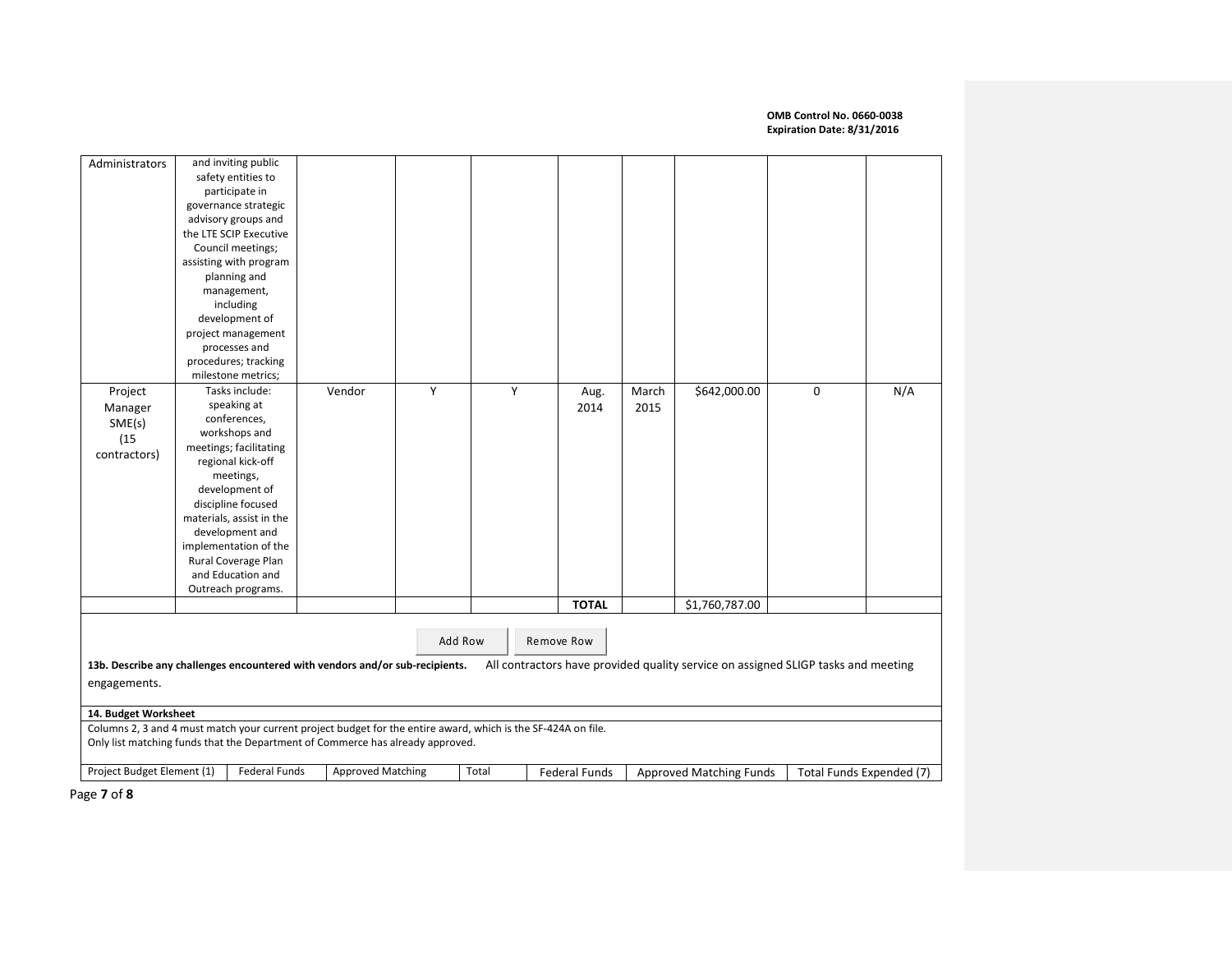| Administrators                                                                                                |                    | and inviting public      |                                                                              |         |       |   |               |       |                                                                                   |   |                          |
|---------------------------------------------------------------------------------------------------------------|--------------------|--------------------------|------------------------------------------------------------------------------|---------|-------|---|---------------|-------|-----------------------------------------------------------------------------------|---|--------------------------|
|                                                                                                               |                    | safety entities to       |                                                                              |         |       |   |               |       |                                                                                   |   |                          |
|                                                                                                               |                    | participate in           |                                                                              |         |       |   |               |       |                                                                                   |   |                          |
|                                                                                                               |                    | governance strategic     |                                                                              |         |       |   |               |       |                                                                                   |   |                          |
|                                                                                                               |                    | advisory groups and      |                                                                              |         |       |   |               |       |                                                                                   |   |                          |
|                                                                                                               |                    | the LTE SCIP Executive   |                                                                              |         |       |   |               |       |                                                                                   |   |                          |
|                                                                                                               |                    | Council meetings;        |                                                                              |         |       |   |               |       |                                                                                   |   |                          |
|                                                                                                               |                    | assisting with program   |                                                                              |         |       |   |               |       |                                                                                   |   |                          |
|                                                                                                               |                    | planning and             |                                                                              |         |       |   |               |       |                                                                                   |   |                          |
|                                                                                                               |                    | management,              |                                                                              |         |       |   |               |       |                                                                                   |   |                          |
|                                                                                                               |                    | including                |                                                                              |         |       |   |               |       |                                                                                   |   |                          |
|                                                                                                               |                    | development of           |                                                                              |         |       |   |               |       |                                                                                   |   |                          |
|                                                                                                               |                    | project management       |                                                                              |         |       |   |               |       |                                                                                   |   |                          |
|                                                                                                               |                    | processes and            |                                                                              |         |       |   |               |       |                                                                                   |   |                          |
|                                                                                                               |                    | procedures; tracking     |                                                                              |         |       |   |               |       |                                                                                   |   |                          |
|                                                                                                               |                    | milestone metrics;       |                                                                              |         |       |   |               |       |                                                                                   |   |                          |
| Project                                                                                                       |                    | Tasks include:           | Vendor                                                                       | Υ       |       | Y | Aug.          | March | \$642,000.00                                                                      | 0 | N/A                      |
| Manager                                                                                                       |                    | speaking at              |                                                                              |         |       |   | 2014          | 2015  |                                                                                   |   |                          |
| SME(s)                                                                                                        |                    | conferences,             |                                                                              |         |       |   |               |       |                                                                                   |   |                          |
| (15)                                                                                                          |                    | workshops and            |                                                                              |         |       |   |               |       |                                                                                   |   |                          |
| contractors)                                                                                                  |                    | meetings; facilitating   |                                                                              |         |       |   |               |       |                                                                                   |   |                          |
|                                                                                                               |                    | regional kick-off        |                                                                              |         |       |   |               |       |                                                                                   |   |                          |
|                                                                                                               |                    | meetings,                |                                                                              |         |       |   |               |       |                                                                                   |   |                          |
|                                                                                                               |                    | development of           |                                                                              |         |       |   |               |       |                                                                                   |   |                          |
|                                                                                                               |                    | discipline focused       |                                                                              |         |       |   |               |       |                                                                                   |   |                          |
|                                                                                                               |                    | materials, assist in the |                                                                              |         |       |   |               |       |                                                                                   |   |                          |
|                                                                                                               |                    | development and          |                                                                              |         |       |   |               |       |                                                                                   |   |                          |
|                                                                                                               |                    | implementation of the    |                                                                              |         |       |   |               |       |                                                                                   |   |                          |
|                                                                                                               |                    | Rural Coverage Plan      |                                                                              |         |       |   |               |       |                                                                                   |   |                          |
|                                                                                                               |                    | and Education and        |                                                                              |         |       |   |               |       |                                                                                   |   |                          |
|                                                                                                               | Outreach programs. |                          |                                                                              |         |       |   |               |       |                                                                                   |   |                          |
|                                                                                                               |                    |                          |                                                                              |         |       |   | <b>TOTAL</b>  |       | \$1,760,787.00                                                                    |   |                          |
|                                                                                                               |                    |                          |                                                                              |         |       |   |               |       |                                                                                   |   |                          |
|                                                                                                               |                    |                          |                                                                              | Add Row |       |   | Remove Row    |       |                                                                                   |   |                          |
|                                                                                                               |                    |                          |                                                                              |         |       |   |               |       |                                                                                   |   |                          |
|                                                                                                               |                    |                          | 13b. Describe any challenges encountered with vendors and/or sub-recipients. |         |       |   |               |       | All contractors have provided quality service on assigned SLIGP tasks and meeting |   |                          |
| engagements.                                                                                                  |                    |                          |                                                                              |         |       |   |               |       |                                                                                   |   |                          |
|                                                                                                               |                    |                          |                                                                              |         |       |   |               |       |                                                                                   |   |                          |
| 14. Budget Worksheet                                                                                          |                    |                          |                                                                              |         |       |   |               |       |                                                                                   |   |                          |
| Columns 2, 3 and 4 must match your current project budget for the entire award, which is the SF-424A on file. |                    |                          |                                                                              |         |       |   |               |       |                                                                                   |   |                          |
| Only list matching funds that the Department of Commerce has already approved.                                |                    |                          |                                                                              |         |       |   |               |       |                                                                                   |   |                          |
| Project Budget Element (1)                                                                                    |                    | <b>Federal Funds</b>     | <b>Approved Matching</b>                                                     |         | Total |   | Federal Funds |       | Approved Matching Funds                                                           |   | Total Funds Expended (7) |
|                                                                                                               |                    |                          |                                                                              |         |       |   |               |       |                                                                                   |   |                          |

Page **7** of **8**